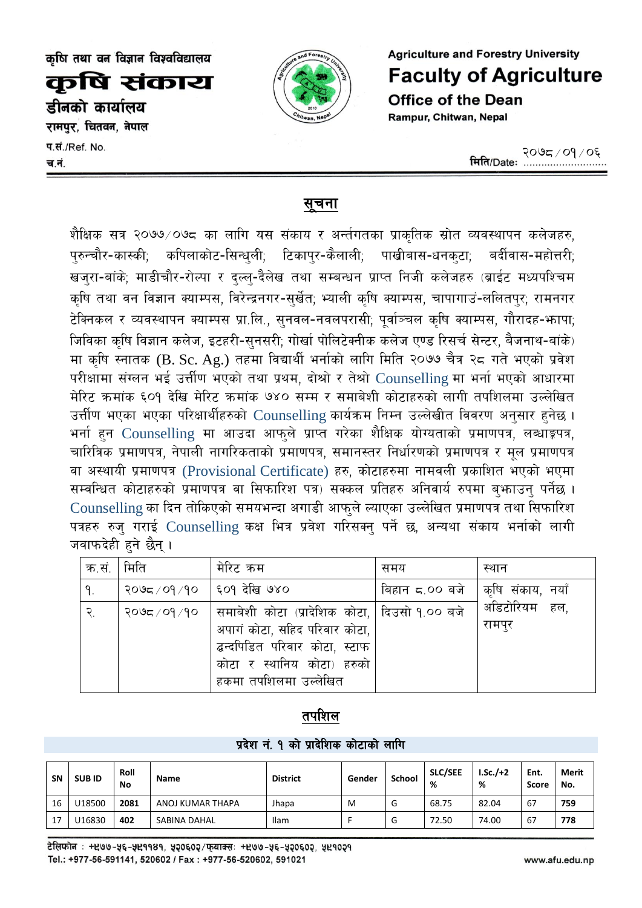कुषि संकाय

डीनको कार्यालय

रामपुर, चितवन, नेपाल

प.सं./Ref. No. च.नं.



**Agriculture and Forestry University Faculty of Agriculture Office of the Dean** Rampur, Chitwan, Nepal

## <u>सूचना</u>

शैक्षिक सत्र २०७७∕०७८ का लागि यस संकाय र अर्न्तगतका प्राकृतिक स्रोत व्यवस्थापन कलेजहरु, पुरुन्चौर-कास्की; कपिलाकोट-सिन्धुली; टिकापुर-कैलाली; पाखीबास-धनकटा; बर्दीवास-महोत्तरी; खजुरा-बांके; माडीचौर-रोल्पा र दल्ल्-दैलेख तथा सम्बन्धन प्राप्त निजी कलेजहरु (ब्राईट मध्यपश्चिम कृषि तथा वन विज्ञान क्याम्पस, विरेन्द्रनगर-सुर्खेत; भ्याली कृषि क्याम्पस, चापागाउं-ललितपुर; रामनगर टेक्निकल र व्यवस्थापन क्याम्पस प्रा.लि., सुनवल-नवलपरासी; पूर्वाञ्चल कृषि क्याम्पस, गौरादह-भापा; जिविका कषि विज्ञान कलेज, इटहरी-सनसरी; गोर्खा पोलिटेक्नीक कलेज एण्ड रिसर्च सेन्टर, बैजनाथ-बांके) मा कृषि स्नातक (B. Sc. Ag.) तहमा विद्यार्थी भर्नाको लागि मिति २०७७ चैत्र २८ गते भएको प्रवेश परीक्षामा संग्लन भई उत्तीण भएको तथा प्रथम, दोश्रो र तेश्रो Counselling मा भर्ना भएको आधारमा मेरिट क्रमांक ६०१ देखि मेरिट क्रमांक ७४० सम्म र समाबेशी कोटाहरुको लागी तपशिलमा उल्लेखित उर्त्तीण भएका भएका परिक्षार्थीहरुको Counselling कार्यक्रम निम्न उल्लेखीत विवरण अनुसार हुनेछ। भर्ना हुन Counselling मा आउदा आफुले प्राप्त गरेका शैक्षिक योग्यताको प्रमाणपत्र, लब्धाङ्कपत्र, चारित्रिक प्रमाणपत्र, नेपाली नागरिकताको प्रमाणपत्र, समानस्तर निर्धारणको प्रमाणपत्र र मुल प्रमाणपत्र वा अस्थायी प्रमाणपत्र (Provisional Certificate) हरु, कोटाहरुमा नामवली प्रकाशित भएको भएमा सम्वन्धित कोटाहरुको प्रमाणपत्र वा सिफारिश पत्र) सक्कल प्रतिहरु अनिवार्य रुपमा बुभ्राउन् पर्नेछ । Counselling का दिन तोकिएको समयभन्दा अगाडी आफुले ल्याएका उल्लेखित प्रमाणपत्र तथा सिफारिश पत्रहरु रुज गराई Counselling कक्ष भित्र प्रवेश गरिसक्त पर्ने छ अन्यथा संकाय भर्नाको लागी जवाफदेही हने छैन ।

| क.सं. $\mid$                | मिति                      | मेरिट कम                                                                                                                                                    | समय            | स्थान                   |
|-----------------------------|---------------------------|-------------------------------------------------------------------------------------------------------------------------------------------------------------|----------------|-------------------------|
| ۹.                          | २०७८/०१/१०   ६०१ देखि ७४० |                                                                                                                                                             | बिहान ८.०० बजे | कृषि संकाय, नयाँ        |
| $\widetilde{\mathcal{R}}$ . |                           | २०७८/०१/१०  समाबेशी कोटा (प्रादेशिक कोटा,   दिउसो १.०० बजे<br>अपागं कोटा, सहिद परिवार कोटा,<br>द्बन्दपिडित परिवार कोटा, स्टाफ<br>कोटा र स्थानिय कोटा) हरुको |                | अडिटोरियम हल,<br>रामपुर |
|                             |                           | हकमा तपशिलमा उल्लेखित                                                                                                                                       |                |                         |

# तपशिल

#### प्रदेश नं. १ को प्रादेशिक कोटाको लागि

| <b>SN</b> | <b>SUBID</b> | Roll<br>No | Name             | <b>District</b> | Gender | School | <b>SLC/SEE</b><br>% | $LSc./+2$<br>% | Ent.<br>Score | Merit<br>No. |
|-----------|--------------|------------|------------------|-----------------|--------|--------|---------------------|----------------|---------------|--------------|
| 16        | U18500       | 2081       | ANOJ KUMAR THAPA | Jhapa           | M      | u      | 68.75               | 82.04          | 67            | 759          |
| 17        | U16830       | 402        | SABINA DAHAL     | Ilam            |        | u      | 72.50               | 74.00          | 67            | 778          |

टेलिफोन : +४७७-५६-५४११४१, ५२०६०२/फुयाक्स: +४७७-५६-५२०६०२, ५४१०२१ Tel.: +977-56-591141, 520602 / Fax: +977-56-520602, 591021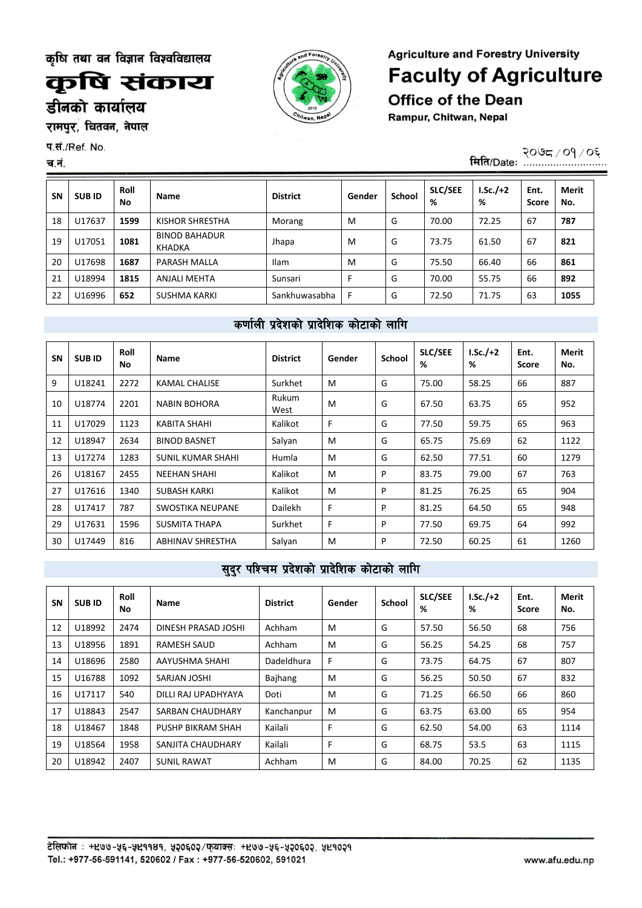कृषि संकाय

डीनको कार्यालय

रामपुर, चितवन, नेपाल

प.सं./Ref. No.

#### च.नं.

**Agriculture and Forestry University Faculty of Agriculture Office of the Dean** Rampur, Chitwan, Nepal

<u>मिति/Date: २०७८/०१</u>/०६

| <b>SN</b> | <b>SUBID</b> | Roll<br>No | <b>Name</b>                    | <b>District</b> | Gender | <b>School</b> | <b>SLC/SEE</b><br>% | $I.Sc./+2$<br>% | Ent.<br><b>Score</b> | <b>Merit</b><br>No. |
|-----------|--------------|------------|--------------------------------|-----------------|--------|---------------|---------------------|-----------------|----------------------|---------------------|
| 18        | U17637       | 1599       | KISHOR SHRESTHA                | Morang          | M      | G             | 70.00               | 72.25           | 67                   | 787                 |
| 19        | U17051       | 1081       | <b>BINOD BAHADUR</b><br>KHADKA | Jhapa           | M      | G             | 73.75               | 61.50           | 67                   | 821                 |
| 20        | U17698       | 1687       | PARASH MALLA                   | <b>Ilam</b>     | M      | G             | 75.50               | 66.40           | 66                   | 861                 |
| 21        | U18994       | 1815       | <b>ANJALI MEHTA</b>            | Sunsari         |        | G             | 70.00               | 55.75           | 66                   | 892                 |
| 22        | U16996       | 652        | SUSHMA KARKI                   | Sankhuwasabha   | F      | G             | 72.50               | 71.75           | 63                   | 1055                |

## कर्णाली प्रदेशको प्रादेशिक कोटाको लागि

| <b>SN</b> | <b>SUB ID</b> | Roll<br>No | <b>Name</b>             | <b>District</b> | Gender | <b>School</b> | <b>SLC/SEE</b><br>% | $I.Sc./+2$<br>% | Ent.<br><b>Score</b> | Merit<br>No. |
|-----------|---------------|------------|-------------------------|-----------------|--------|---------------|---------------------|-----------------|----------------------|--------------|
| 9         | U18241        | 2272       | <b>KAMAL CHALISE</b>    | Surkhet         | M      | G             | 75.00               | 58.25           | 66                   | 887          |
| 10        | U18774        | 2201       | <b>NABIN BOHORA</b>     | Rukum<br>West   | M      | G             | 67.50               | 63.75           | 65                   | 952          |
| 11        | U17029        | 1123       | KABITA SHAHI            | Kalikot         | F      | G             | 77.50               | 59.75           | 65                   | 963          |
| 12        | U18947        | 2634       | <b>BINOD BASNET</b>     | Salyan          | M      | G             | 65.75               | 75.69           | 62                   | 1122         |
| 13        | U17274        | 1283       | SUNIL KUMAR SHAHI       | Humla           | M      | G             | 62.50               | 77.51           | 60                   | 1279         |
| 26        | U18167        | 2455       | NEEHAN SHAHI            | Kalikot         | м      | P             | 83.75               | 79.00           | 67                   | 763          |
| 27        | U17616        | 1340       | <b>SUBASH KARKI</b>     | Kalikot         | M      | P             | 81.25               | 76.25           | 65                   | 904          |
| 28        | U17417        | 787        | SWOSTIKA NEUPANE        | <b>Dailekh</b>  | F      | P             | 81.25               | 64.50           | 65                   | 948          |
| 29        | U17631        | 1596       | SUSMITA THAPA           | Surkhet         | F      | P             | 77.50               | 69.75           | 64                   | 992          |
| 30        | U17449        | 816        | <b>ABHINAV SHRESTHA</b> | Salyan          | M      | P             | 72.50               | 60.25           | 61                   | 1260         |
|           |               |            |                         |                 |        |               |                     |                 |                      |              |

## सुदुर पश्चिम प्रदेशको प्रादेशिक कोटाको लागि

| <b>SN</b> | <b>SUBID</b> | Roll<br>No | <b>Name</b>         | <b>District</b> | Gender | <b>School</b> | <b>SLC/SEE</b><br>% | $I.Sc./+2$<br>% | Ent.<br><b>Score</b> | Merit<br>No. |
|-----------|--------------|------------|---------------------|-----------------|--------|---------------|---------------------|-----------------|----------------------|--------------|
| 12        | U18992       | 2474       | DINESH PRASAD JOSHI | Achham          | M      | G             | 57.50               | 56.50           | 68                   | 756          |
| 13        | U18956       | 1891       | <b>RAMESH SAUD</b>  | Achham          | M      | G             | 56.25               | 54.25           | 68                   | 757          |
| 14        | U18696       | 2580       | AAYUSHMA SHAHI      | Dadeldhura      | F.     | G             | 73.75               | 64.75           | 67                   | 807          |
| 15        | U16788       | 1092       | SARJAN JOSHI        | Bajhang         | M      | G             | 56.25               | 50.50           | 67                   | 832          |
| 16        | U17117       | 540        | DILLI RAJ UPADHYAYA | Doti            | M      | G             | 71.25               | 66.50           | 66                   | 860          |
| 17        | U18843       | 2547       | SARBAN CHAUDHARY    | Kanchanpur      | M      | G             | 63.75               | 63.00           | 65                   | 954          |
| 18        | U18467       | 1848       | PUSHP BIKRAM SHAH   | Kailali         | F      | G             | 62.50               | 54.00           | 63                   | 1114         |
| 19        | U18564       | 1958       | SANJITA CHAUDHARY   | Kailali         | F      | G             | 68.75               | 53.5            | 63                   | 1115         |
| 20        | U18942       | 2407       | <b>SUNIL RAWAT</b>  | Achham          | M      | G             | 84.00               | 70.25           | 62                   | 1135         |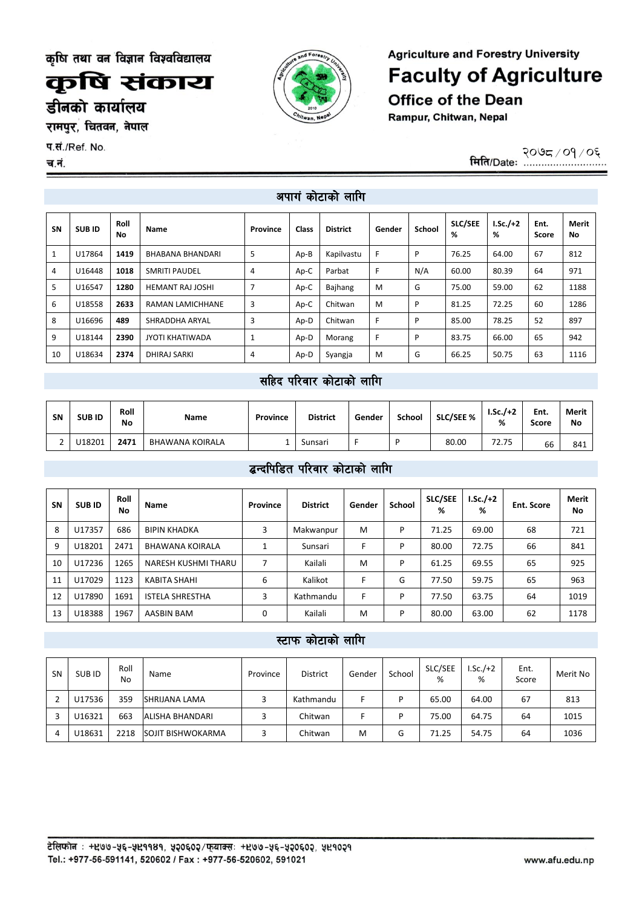कृषि संकाय

डीनको कार्यालय

रामपुर, चितवन, नेपाल

प.सं./Ref. No.

च.नं.

**Agriculture and Forestry University Faculty of Agriculture Office of the Dean** Rampur, Chitwan, Nepal

@)&\*÷)!÷)^

## अपागं कोटाको लागि

| <b>SN</b> | <b>SUBID</b> | Roll<br>No | Name                    | Province | <b>Class</b> | <b>District</b> | Gender | School | <b>SLC/SEE</b><br>℅ | $LSc./+2$<br>% | Ent.<br>Score | <b>Merit</b><br>No |
|-----------|--------------|------------|-------------------------|----------|--------------|-----------------|--------|--------|---------------------|----------------|---------------|--------------------|
|           | U17864       | 1419       | <b>BHABANA BHANDARI</b> | 5        | Ap-B         | Kapilvastu      | F      | P      | 76.25               | 64.00          | 67            | 812                |
| 4         | U16448       | 1018       | <b>SMRITI PAUDEL</b>    | 4        | Ap-C         | Parbat          | F      | N/A    | 60.00               | 80.39          | 64            | 971                |
| 5         | U16547       | 1280       | <b>HEMANT RAJ JOSHI</b> | 7        | Ap-C         | Bajhang         | M      | G      | 75.00               | 59.00          | 62            | 1188               |
| 6         | U18558       | 2633       | <b>RAMAN LAMICHHANE</b> | 3        | Ap-C         | Chitwan         | M      | P      | 81.25               | 72.25          | 60            | 1286               |
| 8         | U16696       | 489        | SHRADDHA ARYAL          | 3        | Ap-D         | Chitwan         | F      | P      | 85.00               | 78.25          | 52            | 897                |
| 9         | U18144       | 2390       | JYOTI KHATIWADA         | 1        | Ap-D         | Morang          | F      | P      | 83.75               | 66.00          | 65            | 942                |
| 10        | U18634       | 2374       | <b>DHIRAJ SARKI</b>     | 4        | Ap-D         | Syangja         | M      | G      | 66.25               | 50.75          | 63            | 1116               |

## सहिद परिवार कोटाको लागि

| <b>SN</b> | <b>SUBID</b> | Roll<br>No | <b>Name</b>     | Province | <b>District</b> | Gender | School | <b>SLC/SEE %</b> | $I.Sc./+2$<br>% | Ent.<br>Score | Merit<br>No |
|-----------|--------------|------------|-----------------|----------|-----------------|--------|--------|------------------|-----------------|---------------|-------------|
| ∼<br>-    | U18201       | 2471       | BHAWANA KOIRALA |          | Sunsari         |        | D      | 80.00            | 72.75           | 66            | 841         |

## द्धन्दपिडित परिवार कोटाको लागि

| <b>SN</b> | <b>SUB ID</b> | Roll<br>No | Name                   | Province | <b>District</b> | Gender | School | <b>SLC/SEE</b><br>% | $LSc./+2$<br>% | Ent. Score | <b>Merit</b><br>No |
|-----------|---------------|------------|------------------------|----------|-----------------|--------|--------|---------------------|----------------|------------|--------------------|
| 8         | U17357        | 686        | <b>BIPIN KHADKA</b>    | 3        | Makwanpur       | м      | P      | 71.25               | 69.00          | 68         | 721                |
| 9         | U18201        | 2471       | <b>BHAWANA KOIRALA</b> |          | Sunsari         |        | P      | 80.00               | 72.75          | 66         | 841                |
| 10        | U17236        | 1265       | NARESH KUSHMI THARU    |          | Kailali         | M      | P      | 61.25               | 69.55          | 65         | 925                |
| 11        | U17029        | 1123       | KABITA SHAHI           | 6        | Kalikot         |        | G      | 77.50               | 59.75          | 65         | 963                |
| 12        | U17890        | 1691       | <b>ISTELA SHRESTHA</b> | 3        | Kathmandu       | Е      | P      | 77.50               | 63.75          | 64         | 1019               |
| 13        | U18388        | 1967       | AASBIN BAM             | 0        | Kailali         | M      | P      | 80.00               | 63.00          | 62         | 1178               |

#### स्टाफ कोटाको लागि

| <b>SN</b> | SUB ID | Roll<br>No | Name                     | Province | <b>District</b> | Gender | School | SLC/SEE<br>% | $Sc./+2$<br>% | Ent.<br>Score | Merit No |
|-----------|--------|------------|--------------------------|----------|-----------------|--------|--------|--------------|---------------|---------------|----------|
|           | U17536 | 359        | <b>SHRIJANA LAMA</b>     |          | Kathmandu       |        | D      | 65.00        | 64.00         | 67            | 813      |
|           | U16321 | 663        | ALISHA BHANDARI          |          | Chitwan         |        | D      | 75.00        | 64.75         | 64            | 1015     |
| 4         | U18631 | 2218       | <b>SOJIT BISHWOKARMA</b> |          | Chitwan         | M      | G      | 71.25        | 54.75         | 64            | 1036     |